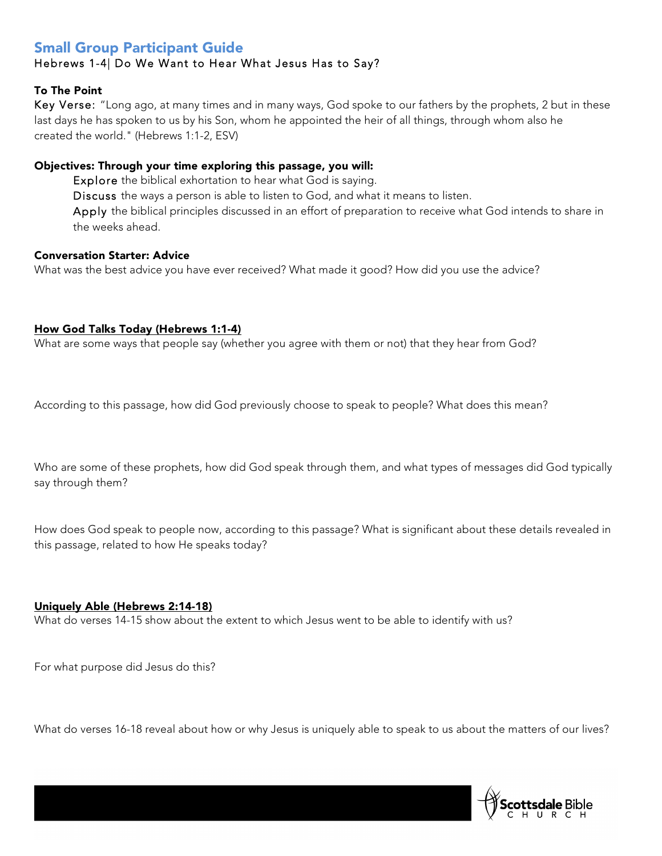# Small Group Participant Guide

# Hebrews 1-4| Do We Want to Hear What Jesus Has to Say?

# To The Point

Key Verse: "Long ago, at many times and in many ways, God spoke to our fathers by the prophets, 2 but in these last days he has spoken to us by his Son, whom he appointed the heir of all things, through whom also he created the world." (Hebrews 1:1-2, ESV)

# Objectives: Through your time exploring this passage, you will:

Explore the biblical exhortation to hear what God is saying.

Discuss the ways a person is able to listen to God, and what it means to listen.

Apply the biblical principles discussed in an effort of preparation to receive what God intends to share in the weeks ahead.

# Conversation Starter: Advice

What was the best advice you have ever received? What made it good? How did you use the advice?

## How God Talks Today (Hebrews 1:1-4)

What are some ways that people say (whether you agree with them or not) that they hear from God?

According to this passage, how did God previously choose to speak to people? What does this mean?

Who are some of these prophets, how did God speak through them, and what types of messages did God typically say through them?

How does God speak to people now, according to this passage? What is significant about these details revealed in this passage, related to how He speaks today?

## Uniquely Able (Hebrews 2:14-18)

What do verses 14-15 show about the extent to which Jesus went to be able to identify with us?

For what purpose did Jesus do this?

What do verses 16-18 reveal about how or why Jesus is uniquely able to speak to us about the matters of our lives?